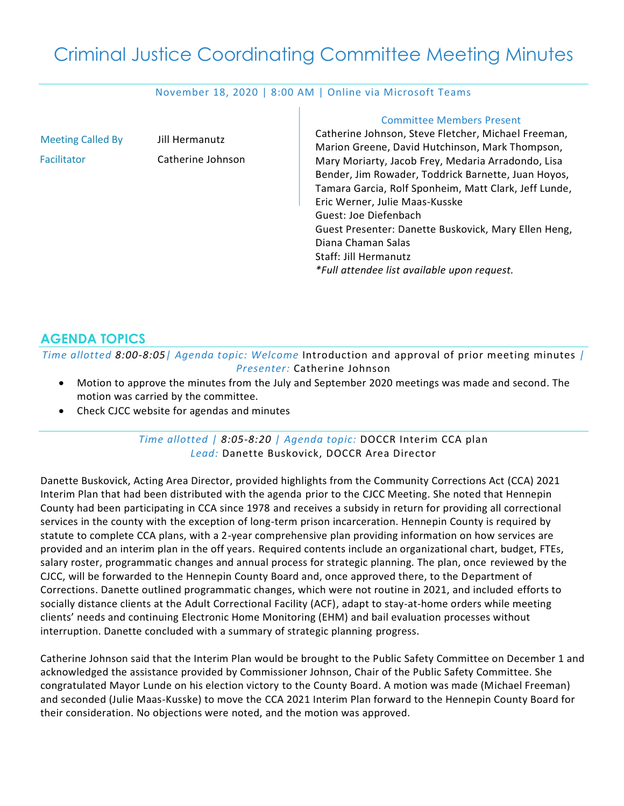# Criminal Justice Coordinating Committee Meeting Minutes

#### November 18, 2020 | 8:00 AM | Online via Microsoft Teams

т

| <b>Meeting Called By</b> | Jill Hermanutz    | <b>Committee Members Present</b><br>Catherine Johnson, Steve Fletcher, Michael Freeman,<br>Marion Greene, David Hutchinson, Mark Thompson,                                                                                                                                                                                                                                          |
|--------------------------|-------------------|-------------------------------------------------------------------------------------------------------------------------------------------------------------------------------------------------------------------------------------------------------------------------------------------------------------------------------------------------------------------------------------|
| Facilitator              | Catherine Johnson | Mary Moriarty, Jacob Frey, Medaria Arradondo, Lisa<br>Bender, Jim Rowader, Toddrick Barnette, Juan Hoyos,<br>Tamara Garcia, Rolf Sponheim, Matt Clark, Jeff Lunde,<br>Eric Werner, Julie Maas-Kusske<br>Guest: Joe Diefenbach<br>Guest Presenter: Danette Buskovick, Mary Ellen Heng,<br>Diana Chaman Salas<br>Staff: Jill Hermanutz<br>*Full attendee list available upon request. |
|                          |                   |                                                                                                                                                                                                                                                                                                                                                                                     |

# **AGENDA TOPICS**

*Time allotted 8:00-8:05| Agenda topic: Welcome* Introduction and approval of prior meeting minutes *| Presenter:* Catherine Johnson

- Motion to approve the minutes from the July and September 2020 meetings was made and second. The motion was carried by the committee.
- Check CJCC website for agendas and minutes

#### *Time allotted | 8:05-8:20 | Agenda topic:* DOCCR Interim CCA plan *Lead:* Danette Buskovick, DOCCR Area Director

Danette Buskovick, Acting Area Director, provided highlights from the Community Corrections Act (CCA) 2021 Interim Plan that had been distributed with the agenda prior to the CJCC Meeting. She noted that Hennepin County had been participating in CCA since 1978 and receives a subsidy in return for providing all correctional services in the county with the exception of long-term prison incarceration. Hennepin County is required by statute to complete CCA plans, with a 2-year comprehensive plan providing information on how services are provided and an interim plan in the off years. Required contents include an organizational chart, budget, FTEs, salary roster, programmatic changes and annual process for strategic planning. The plan, once reviewed by the CJCC, will be forwarded to the Hennepin County Board and, once approved there, to the Department of Corrections. Danette outlined programmatic changes, which were not routine in 2021, and included efforts to socially distance clients at the Adult Correctional Facility (ACF), adapt to stay-at-home orders while meeting clients' needs and continuing Electronic Home Monitoring (EHM) and bail evaluation processes without interruption. Danette concluded with a summary of strategic planning progress.

Catherine Johnson said that the Interim Plan would be brought to the Public Safety Committee on December 1 and acknowledged the assistance provided by Commissioner Johnson, Chair of the Public Safety Committee. She congratulated Mayor Lunde on his election victory to the County Board. A motion was made (Michael Freeman) and seconded (Julie Maas-Kusske) to move the CCA 2021 Interim Plan forward to the Hennepin County Board for their consideration. No objections were noted, and the motion was approved.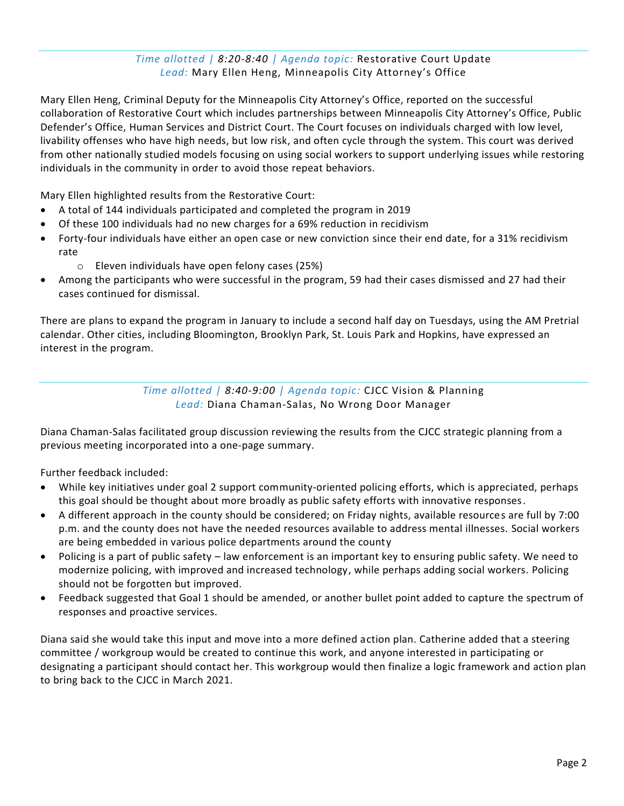# *Time allotted | 8:20-8:40 | Agenda topic:* Restorative Court Update *Lead:* Mary Ellen Heng, Minneapolis City Attorney's Office

Mary Ellen Heng, Criminal Deputy for the Minneapolis City Attorney's Office, reported on the successful collaboration of Restorative Court which includes partnerships between Minneapolis City Attorney's Office, Public Defender's Office, Human Services and District Court. The Court focuses on individuals charged with low level, livability offenses who have high needs, but low risk, and often cycle through the system. This court was derived from other nationally studied models focusing on using social workers to support underlying issues while restoring individuals in the community in order to avoid those repeat behaviors.

Mary Ellen highlighted results from the Restorative Court:

- A total of 144 individuals participated and completed the program in 2019
- Of these 100 individuals had no new charges for a 69% reduction in recidivism
- Forty-four individuals have either an open case or new conviction since their end date, for a 31% recidivism rate
	- o Eleven individuals have open felony cases (25%)
- Among the participants who were successful in the program, 59 had their cases dismissed and 27 had their cases continued for dismissal.

There are plans to expand the program in January to include a second half day on Tuesdays, using the AM Pretrial calendar. Other cities, including Bloomington, Brooklyn Park, St. Louis Park and Hopkins, have expressed an interest in the program.

> *Time allotted | 8:40-9:00 | Agenda topic:* CJCC Vision & Planning *Lead:* Diana Chaman-Salas, No Wrong Door Manager

Diana Chaman-Salas facilitated group discussion reviewing the results from the CJCC strategic planning from a previous meeting incorporated into a one-page summary.

Further feedback included:

- While key initiatives under goal 2 support community-oriented policing efforts, which is appreciated, perhaps this goal should be thought about more broadly as public safety efforts with innovative responses.
- A different approach in the county should be considered; on Friday nights, available resources are full by 7:00 p.m. and the county does not have the needed resources available to address mental illnesses. Social workers are being embedded in various police departments around the county
- Policing is a part of public safety law enforcement is an important key to ensuring public safety. We need to modernize policing, with improved and increased technology, while perhaps adding social workers. Policing should not be forgotten but improved.
- Feedback suggested that Goal 1 should be amended, or another bullet point added to capture the spectrum of responses and proactive services.

Diana said she would take this input and move into a more defined action plan. Catherine added that a steering committee / workgroup would be created to continue this work, and anyone interested in participating or designating a participant should contact her. This workgroup would then finalize a logic framework and action plan to bring back to the CJCC in March 2021.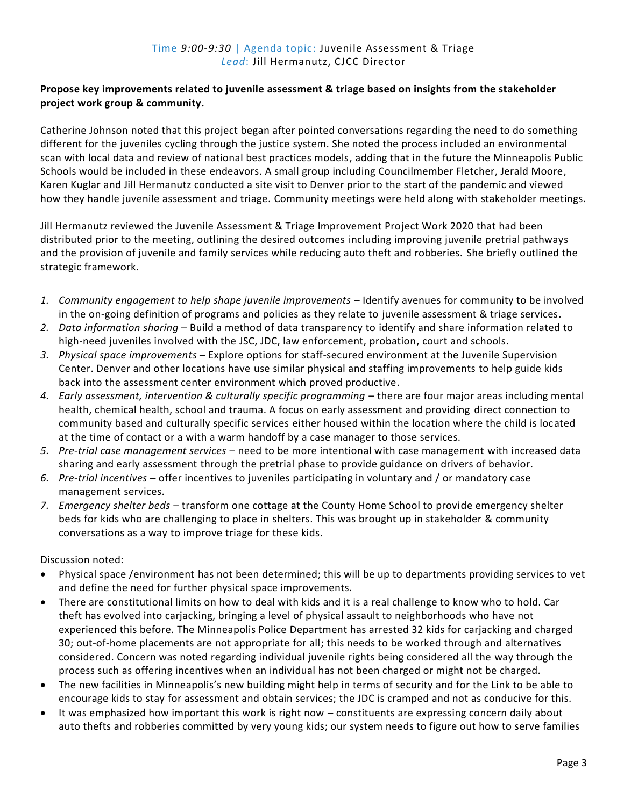## Time *9:00-9:30* | Agenda topic: Juvenile Assessment & Triage *Lead*: Jill Hermanutz, CJCC Director

## **Propose key improvements related to juvenile assessment & triage based on insights from the stakeholder project work group & community.**

Catherine Johnson noted that this project began after pointed conversations regarding the need to do something different for the juveniles cycling through the justice system. She noted the process included an environmental scan with local data and review of national best practices models, adding that in the future the Minneapolis Public Schools would be included in these endeavors. A small group including Councilmember Fletcher, Jerald Moore, Karen Kuglar and Jill Hermanutz conducted a site visit to Denver prior to the start of the pandemic and viewed how they handle juvenile assessment and triage. Community meetings were held along with stakeholder meetings.

Jill Hermanutz reviewed the Juvenile Assessment & Triage Improvement Project Work 2020 that had been distributed prior to the meeting, outlining the desired outcomes including improving juvenile pretrial pathways and the provision of juvenile and family services while reducing auto theft and robberies. She briefly outlined the strategic framework.

- *1. Community engagement to help shape juvenile improvements* Identify avenues for community to be involved in the on-going definition of programs and policies as they relate to juvenile assessment & triage services.
- *2. Data information sharing* Build a method of data transparency to identify and share information related to high-need juveniles involved with the JSC, JDC, law enforcement, probation, court and schools.
- *3. Physical space improvements* Explore options for staff-secured environment at the Juvenile Supervision Center. Denver and other locations have use similar physical and staffing improvements to help guide kids back into the assessment center environment which proved productive.
- *4. Early assessment, intervention & culturally specific programming* there are four major areas including mental health, chemical health, school and trauma. A focus on early assessment and providing direct connection to community based and culturally specific services either housed within the location where the child is located at the time of contact or a with a warm handoff by a case manager to those services.
- *5. Pre-trial case management services* need to be more intentional with case management with increased data sharing and early assessment through the pretrial phase to provide guidance on drivers of behavior.
- *6. Pre-trial incentives* offer incentives to juveniles participating in voluntary and / or mandatory case management services.
- *7. Emergency shelter beds* transform one cottage at the County Home School to provide emergency shelter beds for kids who are challenging to place in shelters. This was brought up in stakeholder & community conversations as a way to improve triage for these kids.

Discussion noted:

- Physical space /environment has not been determined; this will be up to departments providing services to vet and define the need for further physical space improvements.
- There are constitutional limits on how to deal with kids and it is a real challenge to know who to hold. Car theft has evolved into carjacking, bringing a level of physical assault to neighborhoods who have not experienced this before. The Minneapolis Police Department has arrested 32 kids for carjacking and charged 30; out-of-home placements are not appropriate for all; this needs to be worked through and alternatives considered. Concern was noted regarding individual juvenile rights being considered all the way through the process such as offering incentives when an individual has not been charged or might not be charged.
- The new facilities in Minneapolis's new building might help in terms of security and for the Link to be able to encourage kids to stay for assessment and obtain services; the JDC is cramped and not as conducive for this.
- It was emphasized how important this work is right now constituents are expressing concern daily about auto thefts and robberies committed by very young kids; our system needs to figure out how to serve families